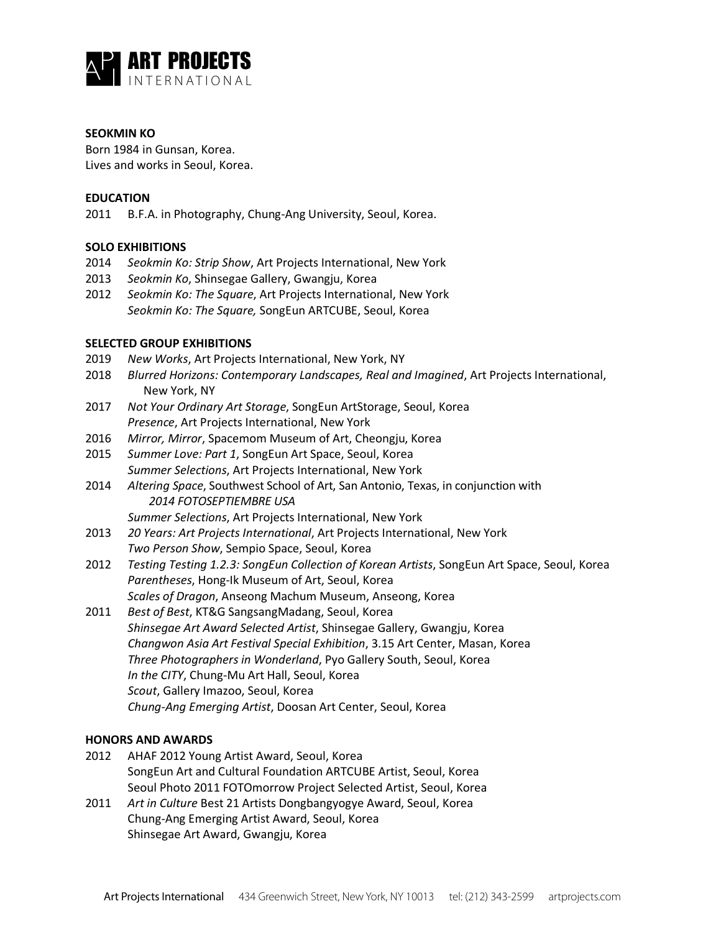

# **SEOKMIN KO**

Born 1984 in Gunsan, Korea. Lives and works in Seoul, Korea.

## **EDUCATION**

2011 B.F.A. in Photography, Chung-Ang University, Seoul, Korea.

# **SOLO EXHIBITIONS**

- 2014 *Seokmin Ko: Strip Show*, Art Projects International, New York
- 2013 *Seokmin Ko*, Shinsegae Gallery, Gwangju, Korea
- 2012 *Seokmin Ko: The Square*, Art Projects International, New York *Seokmin Ko: The Square,* SongEun ARTCUBE, Seoul, Korea

# **SELECTED GROUP EXHIBITIONS**

- 2019 *New Works*, Art Projects International, New York, NY
- 2018 *Blurred Horizons: Contemporary Landscapes, Real and Imagined*, Art Projects International, New York, NY
- 2017 *Not Your Ordinary Art Storage*, SongEun ArtStorage, Seoul, Korea *Presence*, Art Projects International, New York
- 2016 *Mirror, Mirror*, Spacemom Museum of Art, Cheongju, Korea
- 2015 *Summer Love: Part 1*, SongEun Art Space, Seoul, Korea *Summer Selections*, Art Projects International, New York
- 2014 *Altering Space*, Southwest School of Art, San Antonio, Texas, in conjunction with *2014 FOTOSEPTIEMBRE USA*
	- *Summer Selections*, Art Projects International, New York
- 2013 *20 Years: Art Projects International*, Art Projects International, New York *Two Person Show*, Sempio Space, Seoul, Korea
- 2012 *Testing Testing 1.2.3: SongEun Collection of Korean Artists*, SongEun Art Space, Seoul, Korea *Parentheses*, Hong-Ik Museum of Art, Seoul, Korea *Scales of Dragon*, Anseong Machum Museum, Anseong, Korea
- 2011 *Best of Best*, KT&G SangsangMadang, Seoul, Korea *Shinsegae Art Award Selected Artist*, Shinsegae Gallery, Gwangju, Korea *Changwon Asia Art Festival Special Exhibition*, 3.15 Art Center, Masan, Korea *Three Photographers in Wonderland*, Pyo Gallery South, Seoul, Korea *In the CITY*, Chung-Mu Art Hall, Seoul, Korea *Scout*, Gallery Imazoo, Seoul, Korea *Chung-Ang Emerging Artist*, Doosan Art Center, Seoul, Korea

## **HONORS AND AWARDS**

- 2012 AHAF 2012 Young Artist Award, Seoul, Korea SongEun Art and Cultural Foundation ARTCUBE Artist, Seoul, Korea Seoul Photo 2011 FOTOmorrow Project Selected Artist, Seoul, Korea
- 2011 *Art in Culture* Best 21 Artists Dongbangyogye Award, Seoul, Korea Chung-Ang Emerging Artist Award, Seoul, Korea Shinsegae Art Award, Gwangju, Korea